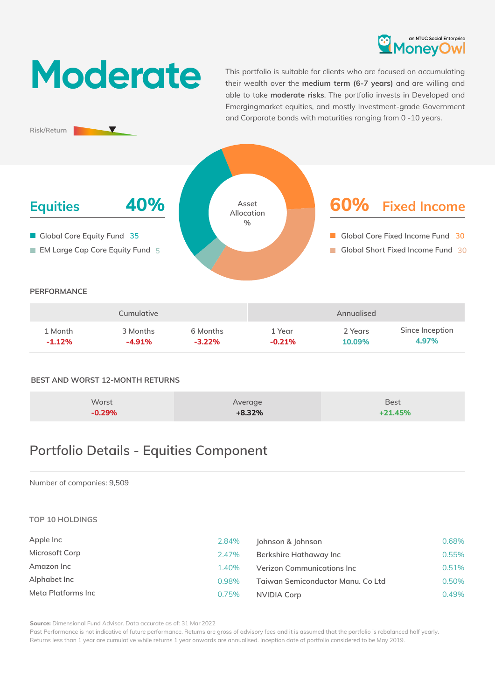

# **Moderate**

 $\blacktriangledown$ 

**Risk/Return**

This portfolio is suitable for clients who are focused on accumulating their wealth over the **medium term (6-7 years)** and are willing and able to take **moderate risks**. The portfolio invests in Developed and Emergingmarket equities, and mostly Investment-grade Government and Corporate bonds with maturities ranging from 0 -10 years.



|          | Cumulative |          |          | Annualised |                 |
|----------|------------|----------|----------|------------|-----------------|
| 1 Month  | 3 Months   | 6 Months | 1 Year   | 2 Years    | Since Inception |
| $-1.12%$ | $-4.91\%$  | $-3.22%$ | $-0.21%$ | 10.09%     | 4.97%           |

## **BEST AND WORST 12-MONTH RETURNS**

| Worst    | Average  | <b>Best</b> |
|----------|----------|-------------|
| $-0.29%$ | $+8.32%$ | $+21.45%$   |

# **Portfolio Details - Equities Component**

## Number of companies: 9,509

#### **TOP 10 HOLDINGS**

| Apple Inc          | 2.84% | Johnson & Johnson                 | 0.68% |
|--------------------|-------|-----------------------------------|-------|
| Microsoft Corp     | 2.47% | Berkshire Hathaway Inc            | 0.55% |
| Amazon Inc         | 1.40% | Verizon Communications Inc        | 0.51% |
| Alphabet Inc       | 0.98% | Taiwan Semiconductor Manu. Co Ltd | 0.50% |
| Meta Platforms Inc | 0.75% | NVIDIA Corp                       | 0.49% |

**Source:** Dimensional Fund Advisor. Data accurate as of: 31 Mar 2022

Past Performance is not indicative of future performance. Returns are gross of advisory fees and it is assumed that the portfolio is rebalanced half yearly. Returns less than 1 year are cumulative while returns 1 year onwards are annualised. Inception date of portfolio considered to be May 2019.